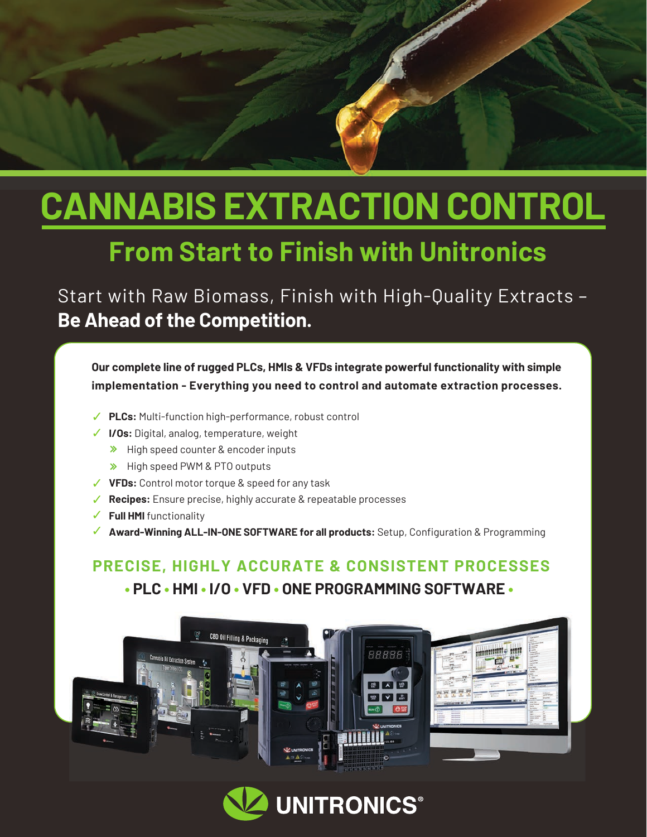# **CANNABIS EXTRACTION CONTROL**

## **From Start to Finish with Unitronics**

Start with Raw Biomass, Finish with High-Quality Extracts – **Be Ahead of the Competition.**

**Our complete line of rugged PLCs, HMIs & VFDs integrate powerful functionality with simple implementation - Everything you need to control and automate extraction processes.**

- **PLCs:** Multi-function high-performance, robust control
- **I/Os:** Digital, analog, temperature, weight
	- $\rightarrow$  High speed counter & encoder inputs
	- > High speed PWM & PTO outputs
- **VFDs:** Control motor torque & speed for any task
- **Recipes:** Ensure precise, highly accurate & repeatable processes
- **Full HMI** functionality
- **Award-Winning ALL-IN-ONE SOFTWARE for all products:** Setup, Configuration & Programming

### **PRECISE, HIGHLY ACCURATE & CONSISTENT PROCESSES • PLC • HMI • I/O • VFD • ONE PROGRAMMING SOFTWARE •**